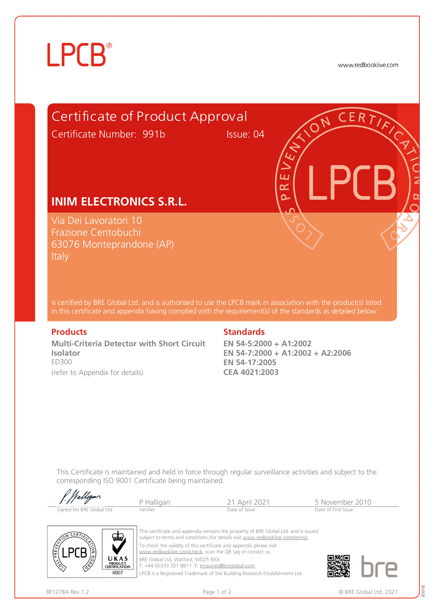# **LPCB**®

www.redbooklive.com



is certified by BRE Global Ltd. and is authorised to use the LPCB mark in association with the product(s) listed in this certificate and appendix having complied with the requirement(s) of the standards as detailed below:

**Multi-Criteria Detector with Short Circuit Isolator**  ED300 (refer to Appendix for details)

### **Products** Standards **Standards**

**EN 54-5:2000 + A1:2002 EN 54-7:2000 + A1:2002 + A2:2006 EN 54-17:2005 CEA 4021:2003**

This Certificate is maintained and held in force through regular surveillance activities and subject to the corresponding ISO 9001 Certificate being maintained.

| f. ffalligar.             | Halligar | April 2021    | 5 November 2010     |
|---------------------------|----------|---------------|---------------------|
| Signed for BRE Global Ltd | Verifier | Date of Issue | Date of First Issue |



 $0111$ 

This certificate and appendix remains the property of BRE Global Ltd. and is issued subject to terms and conditions (for details visit [www.redbooklive.com/terms\)](http://www.redbooklive.com/terms)). To check the validity of this certificate and appendix please visit [www.redbooklive.com/check,](http://www.redbooklive.com/check) scan the QR tag or contact us. BRE Global Ltd, Watford, WD25 9XX

T: +44 (0)333 321 8811 E: [enquiries@breglobal.com](mailto:enquiries@breglobal.com)

LPCB is a Registered Trademark of the Building Research Establishment Ltd.